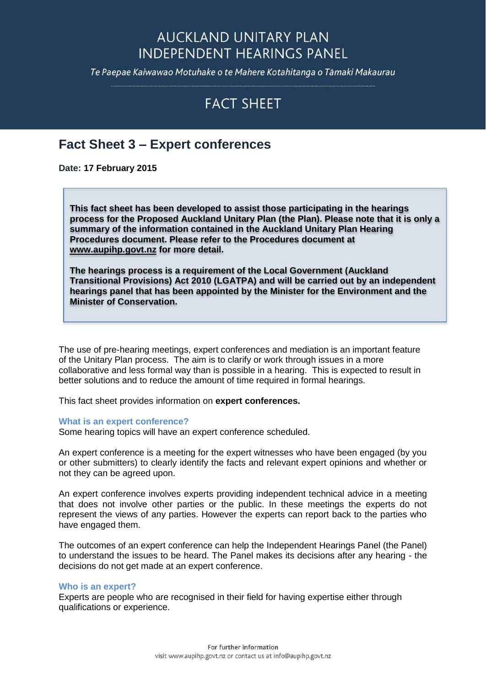## **AUCKLAND UNITARY PLAN INDEPENDENT HEARINGS PANEL**

Te Paepae Kaiwawao Motuhake o te Mahere Kotahitanga o Tāmaki Makaurau

# **FACT SHEET**

### **Fact Sheet 3 – Expert conferences**

**Date: 17 February 2015**

**This fact sheet has been developed to assist those participating in the hearings process for the Proposed Auckland Unitary Plan (the Plan). Please note that it is only a summary of the information contained in the Auckland Unitary Plan Hearing Procedures document. Please refer to the Procedures document at [www.aupihp.govt.nz](http://www.aupihp.govt.nz/) for more detail.** 

**The hearings process is a requirement of the Local Government (Auckland Transitional Provisions) Act 2010 (LGATPA) and will be carried out by an independent hearings panel that has been appointed by the Minister for the Environment and the Minister of Conservation.** 

The use of pre-hearing meetings, expert conferences and mediation is an important feature of the Unitary Plan process. The aim is to clarify or work through issues in a more collaborative and less formal way than is possible in a hearing. This is expected to result in better solutions and to reduce the amount of time required in formal hearings.

This fact sheet provides information on **expert conferences.**

#### **What is an expert conference?**

Some hearing topics will have an expert conference scheduled.

An expert conference is a meeting for the expert witnesses who have been engaged (by you or other submitters) to clearly identify the facts and relevant expert opinions and whether or not they can be agreed upon.

An expert conference involves experts providing independent technical advice in a meeting that does not involve other parties or the public. In these meetings the experts do not represent the views of any parties. However the experts can report back to the parties who have engaged them.

The outcomes of an expert conference can help the Independent Hearings Panel (the Panel) to understand the issues to be heard. The Panel makes its decisions after any hearing - the decisions do not get made at an expert conference.

#### **Who is an expert?**

Experts are people who are recognised in their field for having expertise either through qualifications or experience.